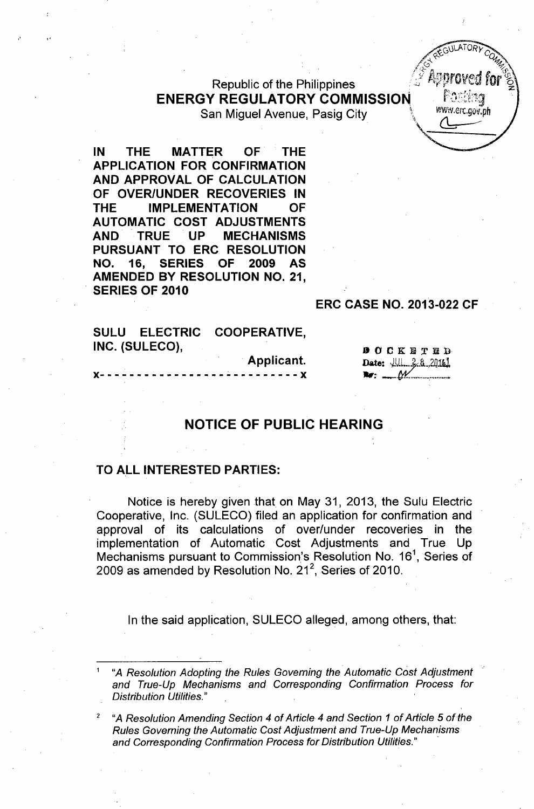Republic of the Philippines ENERGY REGULATORY COMMISSION FOREST San Miguel Avenue, Pasig City

IN THE MATTER OF THE APPLICATION FOR CONFIRMATION AND APPROVAL OF CALCULATION OF OVER/UNDER RECOVERIES IN THE IMPLEMENTATION OF AUTOMATIC COST ADJUSTMENTS AND TRUE UP MECHANISMS PURSUANT TO ERC RESOLUTION NO. 16, SERIES OF 2009 AS AMENDED BY RESOLUTION NO. 21, . SERIES OF 2010

## ERC CASE NO. 2013-022 CF

**4 REGULATORY CO** 

SULU ELECTRIC COOPERATIVE. INC. (SULECO),

Applicant.

**DOCKETED** Date: *JUL. 2.8 2016* 

## NOTICE OF PUBLIC HEARING

 $- - - - x$ 

## TO ALL INTERESTED PARTIES:

Notice is hereby given that on May 31, 2013, the Sulu Electric Cooperative, Inc. (SULECO) filed an application for confirmation and approval of its calculations of over/under recoveries in the implementation of Automatic Cost Adjustments and True Up Mechanisms pursuant to Commission's Resolution No. 16<sup>1</sup>, Series of 2009 as amended by Resolution No. 21<sup>2</sup>, Series of 2010

In the said application, SULECO alleged, among others, that:

<sup>1</sup> *"A Resolution Adopting the Rules Governing the Automatic Cost Adjustment and True-Up Mechanisms and Corresponding Confirmation Process for Distribution Utilities."*

*<sup>2</sup> "A Resolution Amending Section* 4 *of Article* 4 *and Section* 1 *of Article* 5 *ofthe Rules Governing the Automatic Cost Adjustment and True-Up Mechanisms and Corresponding Confirmation Process for Distribution Utilities." .*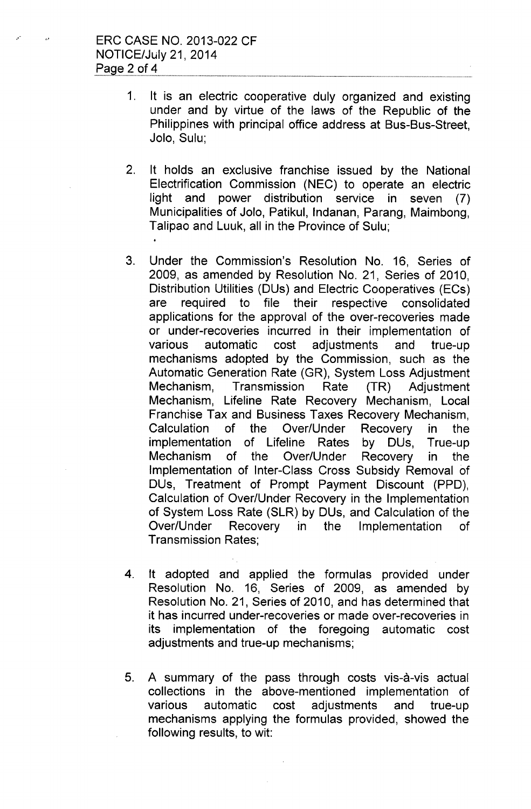- 1. It is an electric cooperative duly organized and existing under and by virtue of the laws of the Republic of the Philippines with principal office address at Bus-Bus-Street, Jolo, Sulu;
- 2. It holds an exclusive franchise issued by the National Electrification Commission (NEC) to operate an electric light and power distribution service in seven (7) Municipalities of Jolo, Patikul, Indanan, Parang, Maimbong, Talipao and Luuk, all in the Province of Sulu;
- 3. Under the Commission's Resolution No. 16, Series of 2009, as amended by Resolution No. 21, Series of 2010, Distribution Utilities (DUs) and Electric Cooperatives (ECs) are required to file their respective consolidated applications for the approval of the over-recoveries made or under-recoveries incurred in their implementation of various automatic cost adjustments and true-up mechanisms adopted by the Commission, such as the Automatic Generation Rate (GR), System Loss Adjustment Mechanism, Transmission Rate (TR) Adjustment Mechanism, Lifeline Rate Recovery Mechanism, Local Franchise Tax and Business Taxes Recovery Mechanism, Calculation of the Over/Under Recovery in the implementation of Lifeline Rates by DUs, True-up Mechanism of the Over/Under Recovery in the Implementation of Inter-Class Cross Subsidy Removal of DUs, Treatment of Prompt Payment Discount (PPD), Calculation of Over/Under Recovery in the Implementation of System Loss Rate (SLR) by DUs, and Calculation of the Over/Under Recovery in the Implementation of Transmission Rates;
- 4. It adopted and applied the formulas provided under Resolution No. 16, Series of 2009, as amended by Resolution No. 21, Series of 2010, and has determined that it has incurred under-recoveries or made over-recoveries in its implementation of the foregoing automatic cost adjustments and true-up mechanisms;
- 5. A summary of the pass through costs vis-a-vis actual collections in the above-mentioned implementation of various automatic cost adjustments and true-up mechanisms applying the formulas provided, showed the following results, to wit: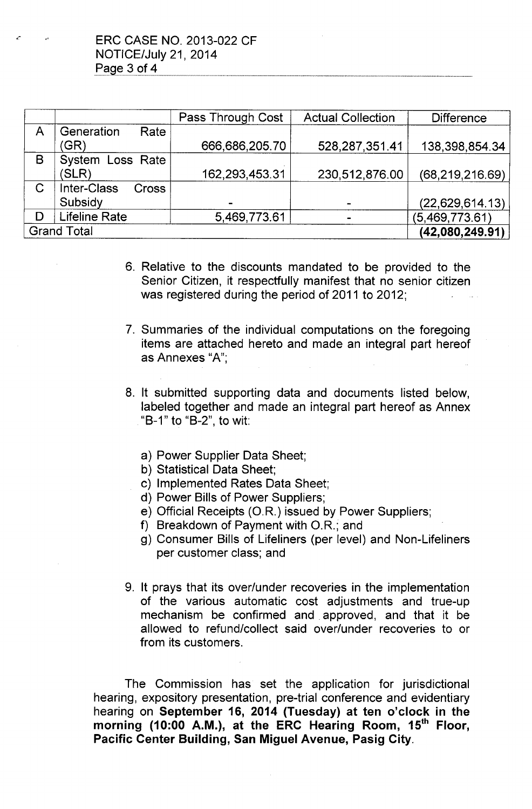|                    |                                    | Pass Through Cost | <b>Actual Collection</b> | <b>Difference</b> |
|--------------------|------------------------------------|-------------------|--------------------------|-------------------|
| A                  | Generation<br>Rate                 |                   |                          |                   |
|                    | (GR)                               | 666,686,205.70    | 528,287,351.41           | 138,398,854.34    |
| B                  | System Loss Rate                   |                   |                          |                   |
|                    | (SLR)                              | 162,293,453.31    | 230,512,876.00           | (68, 219, 216.69) |
| C                  | <b>Inter-Class</b><br><b>Cross</b> |                   |                          |                   |
|                    | Subsidy                            |                   |                          | (22, 629, 614.13) |
| D                  | <b>Lifeline Rate</b>               | 5,469,773.61      |                          | (5,469,773.61)    |
| <b>Grand Total</b> |                                    |                   |                          | (42,080,249.91)   |

- 6. Relative to the discounts mandated to be provided to the Senior Citizen, it respectfully manifest that no senior citizen was registered during the period of 2011 to 2012;
- 7. Summaries of the individual computations on the foregoing items are attached hereto and made an integral part hereof as Annexes "A'",
- 8. It submitted supporting data and documents listed below, labeled together and made an integral part hereof as Annex "B-1" to "B-2", to wit:
	- a) Power Supplier Data Sheet;
	- b) Statistical Data Sheet;
	- c) Implemented Rates Data Sheet;
	- d) Power Bills of Power Suppliers;
	- e) Official Receipts *(OR.)* issued by Power Suppliers;
	- f) Breakdown of Payment with O.R.; and
	- g) Consumer Bills of Lifeliners (per level) and Non-Lifeliners per customer class; and
- 9. It prays that its over/under recoveries in the implementation of the various automatic cost adjustments and true-up mechanism be confirmed and. approved, and that it be allowed to refund/collect said over/under recoveries to or from its customers.

The Commission has set the application for jurisdictional hearing, expository presentation, pre-trial conference and evidentiary hearing on September 16, 2014 (Tuesday) at ten o'clock in the morning (10:00 A.M.), at the ERC Hearing Room, 15<sup>th</sup> Floor, Pacific Center Building, San Miguel Avenue, Pasig City.